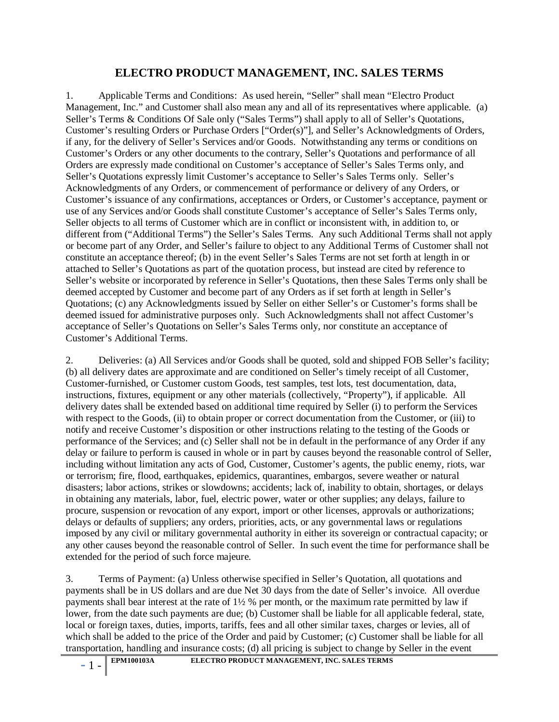## **ELECTRO PRODUCT MANAGEMENT, INC. SALES TERMS**

1. Applicable Terms and Conditions: As used herein, "Seller" shall mean "Electro Product Management, Inc." and Customer shall also mean any and all of its representatives where applicable. (a) Seller's Terms & Conditions Of Sale only ("Sales Terms") shall apply to all of Seller's Quotations, Customer's resulting Orders or Purchase Orders ["Order(s)"], and Seller's Acknowledgments of Orders, if any, for the delivery of Seller's Services and/or Goods. Notwithstanding any terms or conditions on Customer's Orders or any other documents to the contrary, Seller's Quotations and performance of all Orders are expressly made conditional on Customer's acceptance of Seller's Sales Terms only, and Seller's Quotations expressly limit Customer's acceptance to Seller's Sales Terms only. Seller's Acknowledgments of any Orders, or commencement of performance or delivery of any Orders, or Customer's issuance of any confirmations, acceptances or Orders, or Customer's acceptance, payment or use of any Services and/or Goods shall constitute Customer's acceptance of Seller's Sales Terms only, Seller objects to all terms of Customer which are in conflict or inconsistent with, in addition to, or different from ("Additional Terms") the Seller's Sales Terms. Any such Additional Terms shall not apply or become part of any Order, and Seller's failure to object to any Additional Terms of Customer shall not constitute an acceptance thereof; (b) in the event Seller's Sales Terms are not set forth at length in or attached to Seller's Quotations as part of the quotation process, but instead are cited by reference to Seller's website or incorporated by reference in Seller's Quotations, then these Sales Terms only shall be deemed accepted by Customer and become part of any Orders as if set forth at length in Seller's Quotations; (c) any Acknowledgments issued by Seller on either Seller's or Customer's forms shall be deemed issued for administrative purposes only. Such Acknowledgments shall not affect Customer's acceptance of Seller's Quotations on Seller's Sales Terms only, nor constitute an acceptance of Customer's Additional Terms.

2. Deliveries: (a) All Services and/or Goods shall be quoted, sold and shipped FOB Seller's facility; (b) all delivery dates are approximate and are conditioned on Seller's timely receipt of all Customer, Customer-furnished, or Customer custom Goods, test samples, test lots, test documentation, data, instructions, fixtures, equipment or any other materials (collectively, "Property"), if applicable. All delivery dates shall be extended based on additional time required by Seller (i) to perform the Services with respect to the Goods, (ii) to obtain proper or correct documentation from the Customer, or (iii) to notify and receive Customer's disposition or other instructions relating to the testing of the Goods or performance of the Services; and (c) Seller shall not be in default in the performance of any Order if any delay or failure to perform is caused in whole or in part by causes beyond the reasonable control of Seller, including without limitation any acts of God, Customer, Customer's agents, the public enemy, riots, war or terrorism; fire, flood, earthquakes, epidemics, quarantines, embargos, severe weather or natural disasters; labor actions, strikes or slowdowns; accidents; lack of, inability to obtain, shortages, or delays in obtaining any materials, labor, fuel, electric power, water or other supplies; any delays, failure to procure, suspension or revocation of any export, import or other licenses, approvals or authorizations; delays or defaults of suppliers; any orders, priorities, acts, or any governmental laws or regulations imposed by any civil or military governmental authority in either its sovereign or contractual capacity; or any other causes beyond the reasonable control of Seller. In such event the time for performance shall be extended for the period of such force majeure.

3. Terms of Payment: (a) Unless otherwise specified in Seller's Quotation, all quotations and payments shall be in US dollars and are due Net 30 days from the date of Seller's invoice. All overdue payments shall bear interest at the rate of 1½ % per month, or the maximum rate permitted by law if lower, from the date such payments are due; (b) Customer shall be liable for all applicable federal, state, local or foreign taxes, duties, imports, tariffs, fees and all other similar taxes, charges or levies, all of which shall be added to the price of the Order and paid by Customer; (c) Customer shall be liable for all transportation, handling and insurance costs; (d) all pricing is subject to change by Seller in the event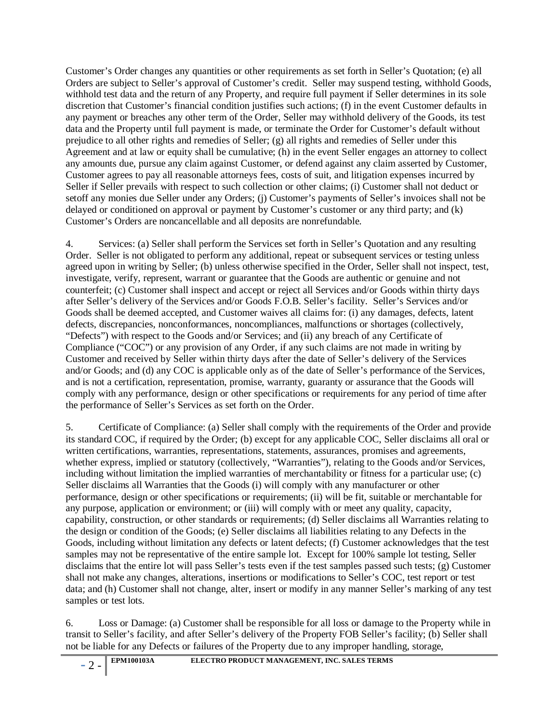Customer's Order changes any quantities or other requirements as set forth in Seller's Quotation; (e) all Orders are subject to Seller's approval of Customer's credit. Seller may suspend testing, withhold Goods, withhold test data and the return of any Property, and require full payment if Seller determines in its sole discretion that Customer's financial condition justifies such actions; (f) in the event Customer defaults in any payment or breaches any other term of the Order, Seller may withhold delivery of the Goods, its test data and the Property until full payment is made, or terminate the Order for Customer's default without prejudice to all other rights and remedies of Seller; (g) all rights and remedies of Seller under this Agreement and at law or equity shall be cumulative; (h) in the event Seller engages an attorney to collect any amounts due, pursue any claim against Customer, or defend against any claim asserted by Customer, Customer agrees to pay all reasonable attorneys fees, costs of suit, and litigation expenses incurred by Seller if Seller prevails with respect to such collection or other claims; (i) Customer shall not deduct or setoff any monies due Seller under any Orders; (j) Customer's payments of Seller's invoices shall not be delayed or conditioned on approval or payment by Customer's customer or any third party; and (k) Customer's Orders are noncancellable and all deposits are nonrefundable.

4. Services: (a) Seller shall perform the Services set forth in Seller's Quotation and any resulting Order. Seller is not obligated to perform any additional, repeat or subsequent services or testing unless agreed upon in writing by Seller; (b) unless otherwise specified in the Order, Seller shall not inspect, test, investigate, verify, represent, warrant or guarantee that the Goods are authentic or genuine and not counterfeit; (c) Customer shall inspect and accept or reject all Services and/or Goods within thirty days after Seller's delivery of the Services and/or Goods F.O.B. Seller's facility. Seller's Services and/or Goods shall be deemed accepted, and Customer waives all claims for: (i) any damages, defects, latent defects, discrepancies, nonconformances, noncompliances, malfunctions or shortages (collectively, "Defects") with respect to the Goods and/or Services; and (ii) any breach of any Certificate of Compliance ("COC") or any provision of any Order, if any such claims are not made in writing by Customer and received by Seller within thirty days after the date of Seller's delivery of the Services and/or Goods; and (d) any COC is applicable only as of the date of Seller's performance of the Services, and is not a certification, representation, promise, warranty, guaranty or assurance that the Goods will comply with any performance, design or other specifications or requirements for any period of time after the performance of Seller's Services as set forth on the Order.

5. Certificate of Compliance: (a) Seller shall comply with the requirements of the Order and provide its standard COC, if required by the Order; (b) except for any applicable COC, Seller disclaims all oral or written certifications, warranties, representations, statements, assurances, promises and agreements, whether express, implied or statutory (collectively, "Warranties"), relating to the Goods and/or Services, including without limitation the implied warranties of merchantability or fitness for a particular use; (c) Seller disclaims all Warranties that the Goods (i) will comply with any manufacturer or other performance, design or other specifications or requirements; (ii) will be fit, suitable or merchantable for any purpose, application or environment; or (iii) will comply with or meet any quality, capacity, capability, construction, or other standards or requirements; (d) Seller disclaims all Warranties relating to the design or condition of the Goods; (e) Seller disclaims all liabilities relating to any Defects in the Goods, including without limitation any defects or latent defects; (f) Customer acknowledges that the test samples may not be representative of the entire sample lot. Except for 100% sample lot testing, Seller disclaims that the entire lot will pass Seller's tests even if the test samples passed such tests; (g) Customer shall not make any changes, alterations, insertions or modifications to Seller's COC, test report or test data; and (h) Customer shall not change, alter, insert or modify in any manner Seller's marking of any test samples or test lots.

6. Loss or Damage: (a) Customer shall be responsible for all loss or damage to the Property while in transit to Seller's facility, and after Seller's delivery of the Property FOB Seller's facility; (b) Seller shall not be liable for any Defects or failures of the Property due to any improper handling, storage,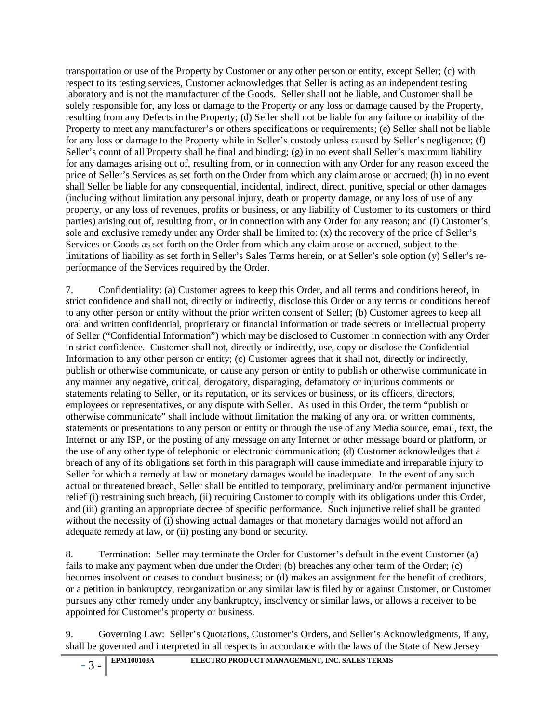transportation or use of the Property by Customer or any other person or entity, except Seller; (c) with respect to its testing services, Customer acknowledges that Seller is acting as an independent testing laboratory and is not the manufacturer of the Goods. Seller shall not be liable, and Customer shall be solely responsible for, any loss or damage to the Property or any loss or damage caused by the Property, resulting from any Defects in the Property; (d) Seller shall not be liable for any failure or inability of the Property to meet any manufacturer's or others specifications or requirements; (e) Seller shall not be liable for any loss or damage to the Property while in Seller's custody unless caused by Seller's negligence; (f) Seller's count of all Property shall be final and binding; (g) in no event shall Seller's maximum liability for any damages arising out of, resulting from, or in connection with any Order for any reason exceed the price of Seller's Services as set forth on the Order from which any claim arose or accrued; (h) in no event shall Seller be liable for any consequential, incidental, indirect, direct, punitive, special or other damages (including without limitation any personal injury, death or property damage, or any loss of use of any property, or any loss of revenues, profits or business, or any liability of Customer to its customers or third parties) arising out of, resulting from, or in connection with any Order for any reason; and (i) Customer's sole and exclusive remedy under any Order shall be limited to: (x) the recovery of the price of Seller's Services or Goods as set forth on the Order from which any claim arose or accrued, subject to the limitations of liability as set forth in Seller's Sales Terms herein, or at Seller's sole option (y) Seller's reperformance of the Services required by the Order.

7. Confidentiality: (a) Customer agrees to keep this Order, and all terms and conditions hereof, in strict confidence and shall not, directly or indirectly, disclose this Order or any terms or conditions hereof to any other person or entity without the prior written consent of Seller; (b) Customer agrees to keep all oral and written confidential, proprietary or financial information or trade secrets or intellectual property of Seller ("Confidential Information") which may be disclosed to Customer in connection with any Order in strict confidence. Customer shall not, directly or indirectly, use, copy or disclose the Confidential Information to any other person or entity; (c) Customer agrees that it shall not, directly or indirectly, publish or otherwise communicate, or cause any person or entity to publish or otherwise communicate in any manner any negative, critical, derogatory, disparaging, defamatory or injurious comments or statements relating to Seller, or its reputation, or its services or business, or its officers, directors, employees or representatives, or any dispute with Seller. As used in this Order, the term "publish or otherwise communicate" shall include without limitation the making of any oral or written comments, statements or presentations to any person or entity or through the use of any Media source, email, text, the Internet or any ISP, or the posting of any message on any Internet or other message board or platform, or the use of any other type of telephonic or electronic communication; (d) Customer acknowledges that a breach of any of its obligations set forth in this paragraph will cause immediate and irreparable injury to Seller for which a remedy at law or monetary damages would be inadequate. In the event of any such actual or threatened breach, Seller shall be entitled to temporary, preliminary and/or permanent injunctive relief (i) restraining such breach, (ii) requiring Customer to comply with its obligations under this Order, and (iii) granting an appropriate decree of specific performance. Such injunctive relief shall be granted without the necessity of (i) showing actual damages or that monetary damages would not afford an adequate remedy at law, or (ii) posting any bond or security.

8. Termination: Seller may terminate the Order for Customer's default in the event Customer (a) fails to make any payment when due under the Order; (b) breaches any other term of the Order; (c) becomes insolvent or ceases to conduct business; or (d) makes an assignment for the benefit of creditors, or a petition in bankruptcy, reorganization or any similar law is filed by or against Customer, or Customer pursues any other remedy under any bankruptcy, insolvency or similar laws, or allows a receiver to be appointed for Customer's property or business.

9. Governing Law: Seller's Quotations, Customer's Orders, and Seller's Acknowledgments, if any, shall be governed and interpreted in all respects in accordance with the laws of the State of New Jersey